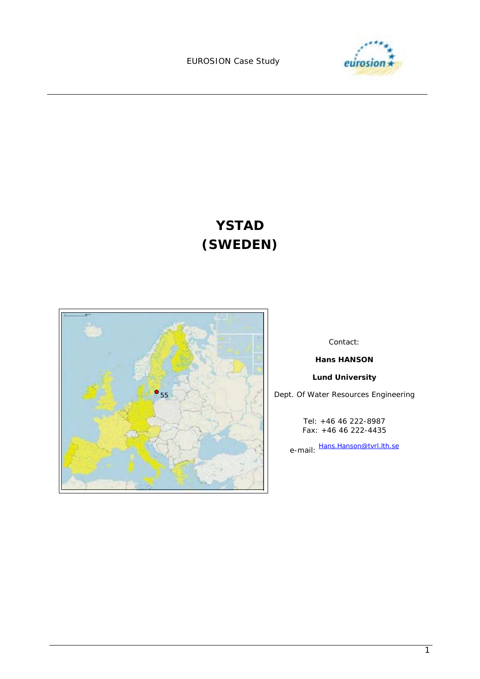EUROSION Case Study



# **YSTAD (SWEDEN)**



Contact:

**Hans HANSON** 

**Lund University** 

Dept. Of Water Resources Engineering

Tel: +46 46 222-8987 Fax: +46 46 222-4435

e-mail: Hans.Hanson@tvrl.lth.se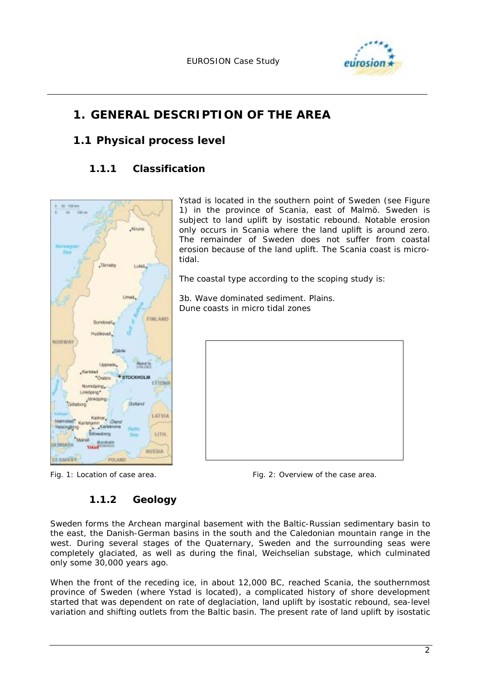

# **1. GENERAL DESCRIPTION OF THE AREA**

tidal.

# **1.1 Physical process level**

# **1.1.1 Classification**



# *Fig. 1: Location of case area. Fig. 2: Overview of the case area.*

Ystad is located in the southern point of Sweden (see Figure 1) in the province of Scania, east of Malmö. Sweden is subject to land uplift by isostatic rebound. Notable erosion only occurs in Scania where the land uplift is around zero. The remainder of Sweden does not suffer from coastal erosion because of the land uplift. The Scania coast is micro-

The coastal type according to the scoping study is:

3b. Wave dominated sediment. Plains. Dune coasts in micro tidal zones

# **1.1.2 Geology**

Sweden forms the Archean marginal basement with the Baltic-Russian sedimentary basin to the east, the Danish-German basins in the south and the Caledonian mountain range in the west. During several stages of the Quaternary, Sweden and the surrounding seas were completely glaciated, as well as during the final, Weichselian substage, which culminated only some 30,000 years ago.

When the front of the receding ice, in about 12,000 BC, reached Scania, the southernmost province of Sweden (where Ystad is located), a complicated history of shore development started that was dependent on rate of deglaciation, land uplift by isostatic rebound, sea-level variation and shifting outlets from the Baltic basin. The present rate of land uplift by isostatic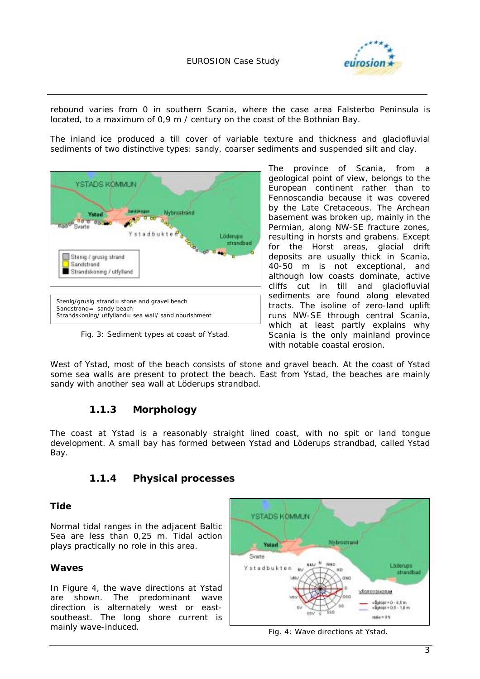

rebound varies from 0 in southern Scania, where the case area Falsterbo Peninsula is located, to a maximum of 0,9 m / century on the coast of the Bothnian Bay.

The inland ice produced a till cover of variable texture and thickness and glaciofluvial sediments of two distinctive types: sandy, coarser sediments and suspended silt and clay.



*Fig. 3: Sediment types at coast of Ystad.* 

The province of Scania, from a geological point of view, belongs to the European continent rather than to Fennoscandia because it was covered by the Late Cretaceous. The Archean basement was broken up, mainly in the Permian, along NW-SE fracture zones, resulting in horsts and grabens. Except for the Horst areas, glacial drift deposits are usually thick in Scania, 40-50 m is not exceptional, and although low coasts dominate, active cliffs cut in till and glaciofluvial sediments are found along elevated tracts. The isoline of zero-land uplift runs NW-SE through central Scania, which at least partly explains why Scania is the only mainland province with notable coastal erosion.

West of Ystad, most of the beach consists of stone and gravel beach. At the coast of Ystad some sea walls are present to protect the beach. East from Ystad, the beaches are mainly sandy with another sea wall at Löderups strandbad.

#### **1.1.3 Morphology**

The coast at Ystad is a reasonably straight lined coast, with no spit or land tongue development. A small bay has formed between Ystad and Löderups strandbad, called Ystad Bay.

#### **1.1.4 Physical processes**

#### **Tide**

Normal tidal ranges in the adjacent Baltic Sea are less than 0,25 m. Tidal action plays practically no role in this area.

#### **Waves**

In Figure 4, the wave directions at Ystad are shown. The predominant wave direction is alternately west or eastsoutheast. The long shore current is mainly wave-induced.



*Fig. 4: Wave directions at Ystad.*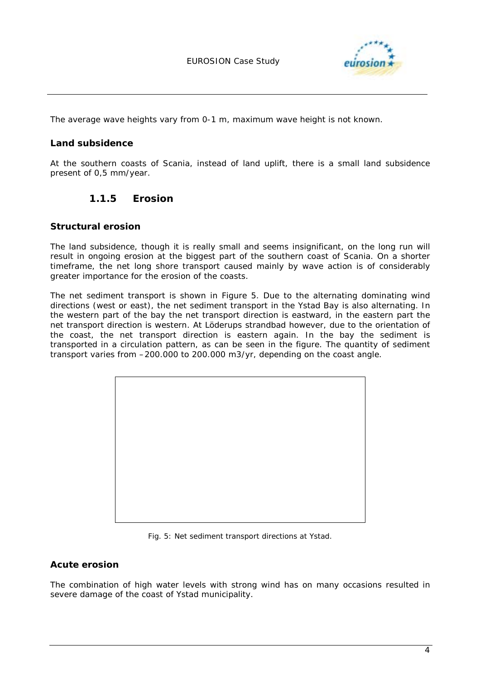

The average wave heights vary from 0-1 m, maximum wave height is not known.

#### **Land subsidence**

At the southern coasts of Scania, instead of land uplift, there is a small land subsidence present of 0,5 mm/year.

#### **1.1.5 Erosion**

#### **Structural erosion**

The land subsidence, though it is really small and seems insignificant, on the long run will result in ongoing erosion at the biggest part of the southern coast of Scania. On a shorter timeframe, the net long shore transport caused mainly by wave action is of considerably greater importance for the erosion of the coasts.

The net sediment transport is shown in Figure 5. Due to the alternating dominating wind directions (west or east), the net sediment transport in the Ystad Bay is also alternating. In the western part of the bay the net transport direction is eastward, in the eastern part the net transport direction is western. At Löderups strandbad however, due to the orientation of the coast, the net transport direction is eastern again. In the bay the sediment is transported in a circulation pattern, as can be seen in the figure. The quantity of sediment transport varies from –200.000 to 200.000 m3/yr, depending on the coast angle.



*Fig. 5: Net sediment transport directions at Ystad.* 

#### **Acute erosion**

The combination of high water levels with strong wind has on many occasions resulted in severe damage of the coast of Ystad municipality.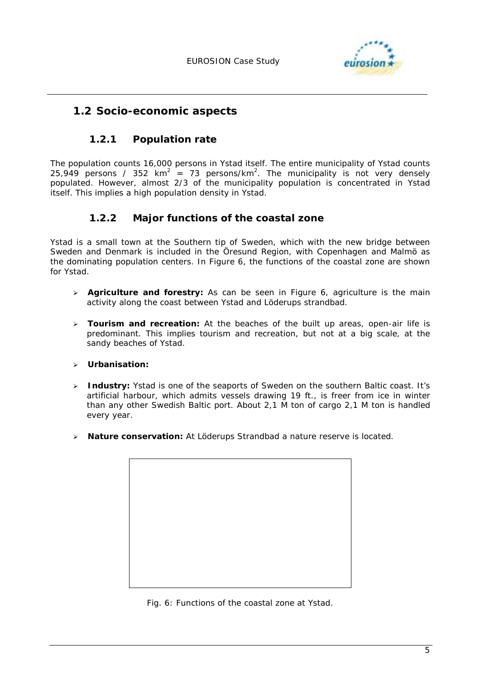

#### **1.2 Socio-economic aspects**

#### **1.2.1 Population rate**

The population counts 16,000 persons in Ystad itself. The entire municipality of Ystad counts 25,949 persons / 352 km<sup>2</sup> = 73 persons/km<sup>2</sup>. The municipality is not very densely populated. However, almost 2/3 of the municipality population is concentrated in Ystad itself. This implies a high population density in Ystad.

#### **1.2.2 Major functions of the coastal zone**

Ystad is a small town at the Southern tip of Sweden, which with the new bridge between Sweden and Denmark is included in the Öresund Region, with Copenhagen and Malmö as the dominating population centers. In Figure 6, the functions of the coastal zone are shown for Ystad.

- > **Agriculture and forestry:** As can be seen in Figure 6, agriculture is the main activity along the coast between Ystad and Löderups strandbad.
- **Tourism and recreation:** At the beaches of the built up areas, open-air life is predominant. This implies tourism and recreation, but not at a big scale, at the sandy beaches of Ystad.
- **Urbanisation:**
- > **Industry:** Ystad is one of the seaports of Sweden on the southern Baltic coast. It's artificial harbour, which admits vessels drawing 19 ft., is freer from ice in winter than any other Swedish Baltic port. About 2,1 M ton of cargo 2,1 M ton is handled every year.
- > **Nature conservation:** At Löderups Strandbad a nature reserve is located.



*Fig. 6: Functions of the coastal zone at Ystad.*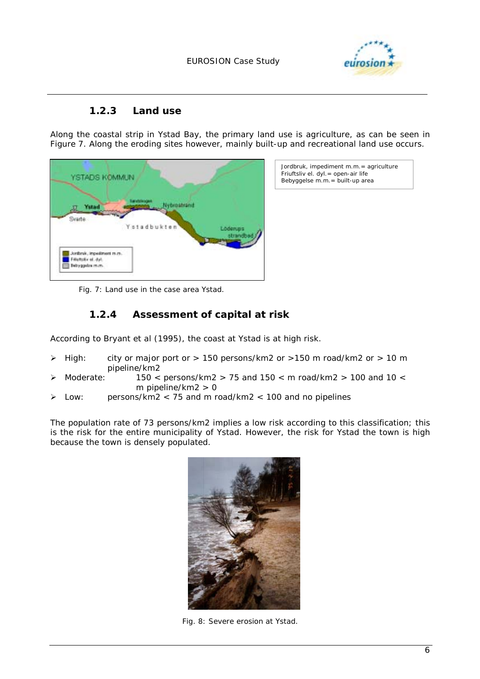

#### **1.2.3 Land use**

Along the coastal strip in Ystad Bay, the primary land use is agriculture, as can be seen in Figure 7. Along the eroding sites however, mainly built-up and recreational land use occurs.

| YSTADS KOMMUN                                    |                            |                       |
|--------------------------------------------------|----------------------------|-----------------------|
| Ystad<br>Svarte                                  | Nybrostrand<br>Ystadbukten |                       |
| Jordank, impediment rs.m.<br>Filiptistic of dyl. |                            | Lodenies<br>strandbad |
| Betryggelze m.m.                                 |                            |                       |

*Jordbruk, impediment m.m.= agriculture Friuftsliv el. dyl.= open-air life Bebyggelse m.m.= built-up area* 

*Fig. 7: Land use in the case area Ystad.*

#### **1.2.4 Assessment of capital at risk**

According to Bryant et al (1995), the coast at Ystad is at high risk.

- High: city or major port or  $> 150$  persons/km2 or  $> 150$  m road/km2 or  $> 10$  m pipeline/km2
- $\blacktriangleright$ Moderate: 150 < persons/km2 > 75 and 150 < m road/km2 > 100 and 10 < m pipeline/km2 > 0
- Low: persons/km2  $<$  75 and m road/km2  $<$  100 and no pipelines

The population rate of 73 persons/km2 implies a low risk according to this classification; this is the risk for the entire municipality of Ystad. However, the risk for Ystad the town is high because the town is densely populated.



*Fig. 8: Severe erosion at Ystad.*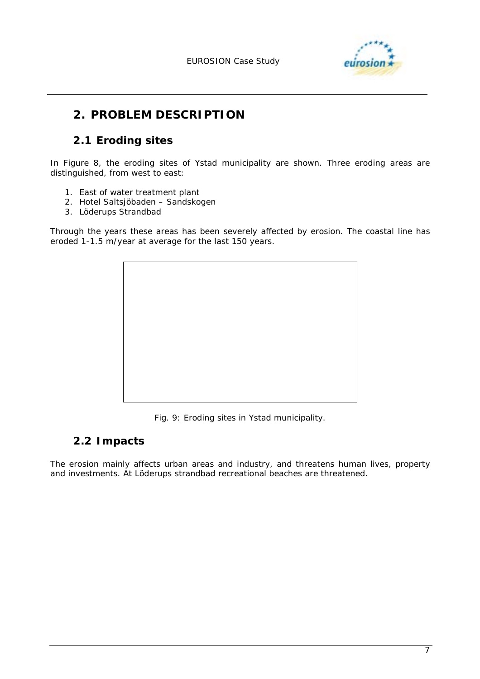

# **2. PROBLEM DESCRIPTION**

# **2.1 Eroding sites**

In Figure 8, the eroding sites of Ystad municipality are shown. Three eroding areas are distinguished, from west to east:

- 1. East of water treatment plant
- 2. Hotel Saltsjöbaden Sandskogen
- 3. Löderups Strandbad

Through the years these areas has been severely affected by erosion. The coastal line has eroded 1-1.5 m/year at average for the last 150 years.



*Fig. 9: Eroding sites in Ystad municipality.* 

# **2.2 Impacts**

The erosion mainly affects urban areas and industry, and threatens human lives, property and investments. At Löderups strandbad recreational beaches are threatened.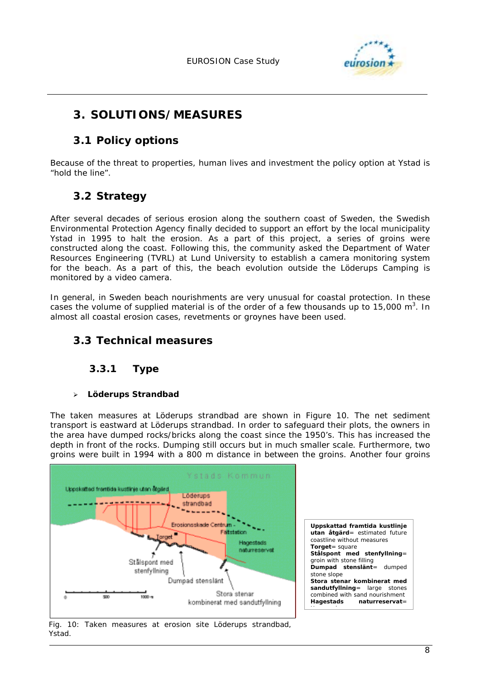

# **3. SOLUTIONS/MEASURES**

# **3.1 Policy options**

Because of the threat to properties, human lives and investment the policy option at Ystad is "hold the line".

# **3.2 Strategy**

After several decades of serious erosion along the southern coast of Sweden, the Swedish Environmental Protection Agency finally decided to support an effort by the local municipality Ystad in 1995 to halt the erosion. As a part of this project, a series of groins were constructed along the coast. Following this, the community asked the Department of Water Resources Engineering (TVRL) at Lund University to establish a camera monitoring system for the beach. As a part of this, the beach evolution outside the Löderups Camping is monitored by a video camera.

In general, in Sweden beach nourishments are very unusual for coastal protection. In these cases the volume of supplied material is of the order of a few thousands up to 15,000 m<sup>3</sup>. In almost all coastal erosion cases, revetments or groynes have been used.

# **3.3 Technical measures**

#### **3.3.1 Type**

#### - **Löderups Strandbad**

The taken measures at Löderups strandbad are shown in Figure 10. The net sediment transport is eastward at Löderups strandbad. In order to safeguard their plots, the owners in the area have dumped rocks/bricks along the coast since the 1950's. This has increased the depth in front of the rocks. Dumping still occurs but in much smaller scale. Furthermore, two groins were built in 1994 with a 800 m distance in between the groins. Another four groins



*Fig. 10: Taken measures at erosion site Löderups strandbad, Ystad.*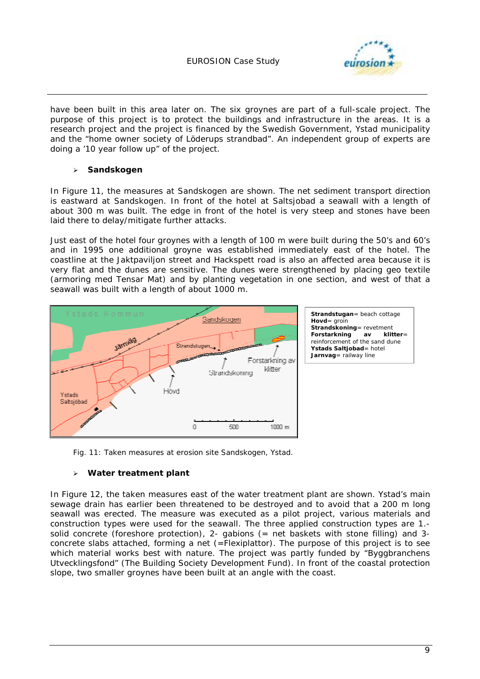

have been built in this area later on. The six groynes are part of a full-scale project. The purpose of this project is to protect the buildings and infrastructure in the areas. It is a research project and the project is financed by the Swedish Government, Ystad municipality and the "home owner society of Löderups strandbad". An independent group of experts are doing a '10 year follow up" of the project.

#### $\blacktriangleright$ **Sandskogen**

In Figure 11, the measures at Sandskogen are shown. The net sediment transport direction is eastward at Sandskogen. In front of the hotel at Saltsjobad a seawall with a length of about 300 m was built. The edge in front of the hotel is very steep and stones have been laid there to delay/mitigate further attacks.

Just east of the hotel four groynes with a length of 100 m were built during the 50's and 60's and in 1995 one additional groyne was established immediately east of the hotel. The coastline at the Jaktpaviljon street and Hackspett road is also an affected area because it is very flat and the dunes are sensitive. The dunes were strengthened by placing geo textile (armoring med Tensar Mat) and by planting vegetation in one section, and west of that a seawall was built with a length of about 1000 m.



*Fig. 11: Taken measures at erosion site Sandskogen, Ystad.* 

#### $\geq$ **Water treatment plant**

In Figure 12, the taken measures east of the water treatment plant are shown. Ystad's main sewage drain has earlier been threatened to be destroyed and to avoid that a 200 m long seawall was erected. The measure was executed as a pilot project, various materials and construction types were used for the seawall. The three applied construction types are 1. solid concrete (foreshore protection), 2- gabions (= net baskets with stone filling) and 3 concrete slabs attached, forming a net (=Flexiplattor). The purpose of this project is to see which material works best with nature. The project was partly funded by "Byggbranchens" Utvecklingsfond" (The Building Society Development Fund). In front of the coastal protection slope, two smaller groynes have been built at an angle with the coast.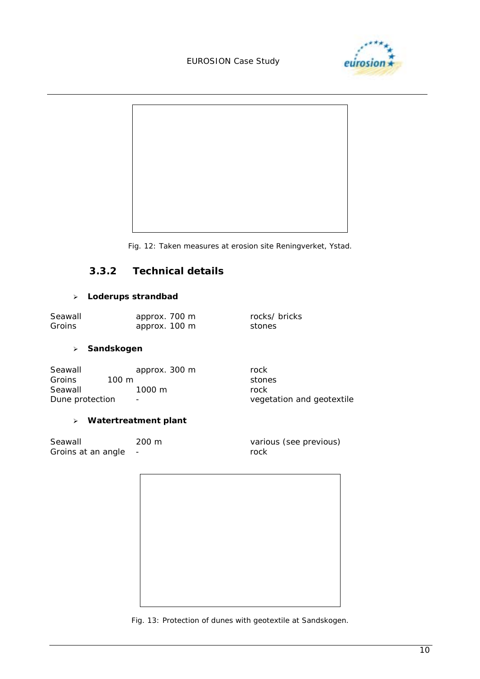#### EUROSION Case Study





*Fig. 12: Taken measures at erosion site Reningverket, Ystad.* 

#### **3.3.2 Technical details**

#### - **Loderups strandbad**

| Seawall | approx. 700 m | rocks/ bricks |
|---------|---------------|---------------|
| Groins  | approx. 100 m | stones        |

#### - **Sandskogen**

| Seawall         | approx. 300 m                | rock                      |
|-----------------|------------------------------|---------------------------|
| <b>Groins</b>   | 100 m                        | stones                    |
| Seawall         | $1000 \; \mathrm{m}$         | rock                      |
| Dune protection | $\qquad \qquad \blacksquare$ | vegetation and geotextile |

#### - **Watertreatment plant**

| Seawall            | $200 \; \mathrm{m}$ | various (see previous) |
|--------------------|---------------------|------------------------|
| Groins at an angle |                     | rock                   |



*Fig. 13: Protection of dunes with geotextile at Sandskogen.*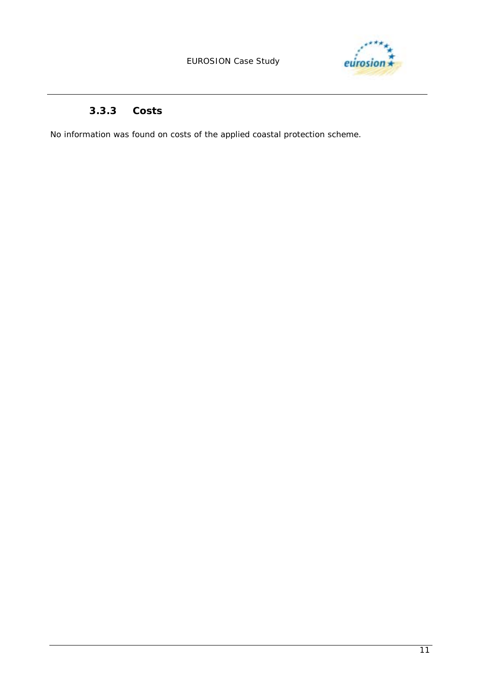

# **3.3.3 Costs**

No information was found on costs of the applied coastal protection scheme.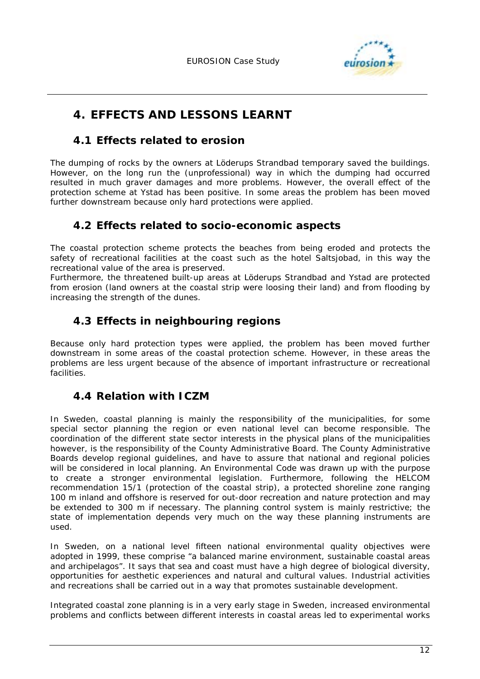

# **4. EFFECTS AND LESSONS LEARNT**

# **4.1 Effects related to erosion**

The dumping of rocks by the owners at Löderups Strandbad temporary saved the buildings. However, on the long run the (unprofessional) way in which the dumping had occurred resulted in much graver damages and more problems. However, the overall effect of the protection scheme at Ystad has been positive. In some areas the problem has been moved further downstream because only hard protections were applied.

# **4.2 Effects related to socio-economic aspects**

The coastal protection scheme protects the beaches from being eroded and protects the safety of recreational facilities at the coast such as the hotel Saltsjobad, in this way the recreational value of the area is preserved.

Furthermore, the threatened built-up areas at Löderups Strandbad and Ystad are protected from erosion (land owners at the coastal strip were loosing their land) and from flooding by increasing the strength of the dunes.

# **4.3 Effects in neighbouring regions**

Because only hard protection types were applied, the problem has been moved further downstream in some areas of the coastal protection scheme. However, in these areas the problems are less urgent because of the absence of important infrastructure or recreational facilities.

# **4.4 Relation with ICZM**

In Sweden, coastal planning is mainly the responsibility of the municipalities, for some special sector planning the region or even national level can become responsible. The coordination of the different state sector interests in the physical plans of the municipalities however, is the responsibility of the County Administrative Board. The County Administrative Boards develop regional guidelines, and have to assure that national and regional policies will be considered in local planning. An Environmental Code was drawn up with the purpose to create a stronger environmental legislation. Furthermore, following the HELCOM recommendation 15/1 (protection of the coastal strip), a protected shoreline zone ranging 100 m inland and offshore is reserved for out-door recreation and nature protection and may be extended to 300 m if necessary. The planning control system is mainly restrictive; the state of implementation depends very much on the way these planning instruments are used.

In Sweden, on a national level fifteen national environmental quality objectives were adopted in 1999, these comprise "a balanced marine environment, sustainable coastal areas and archipelagos". It says that sea and coast must have a high degree of biological diversity, opportunities for aesthetic experiences and natural and cultural values. Industrial activities and recreations shall be carried out in a way that promotes sustainable development.

Integrated coastal zone planning is in a very early stage in Sweden, increased environmental problems and conflicts between different interests in coastal areas led to experimental works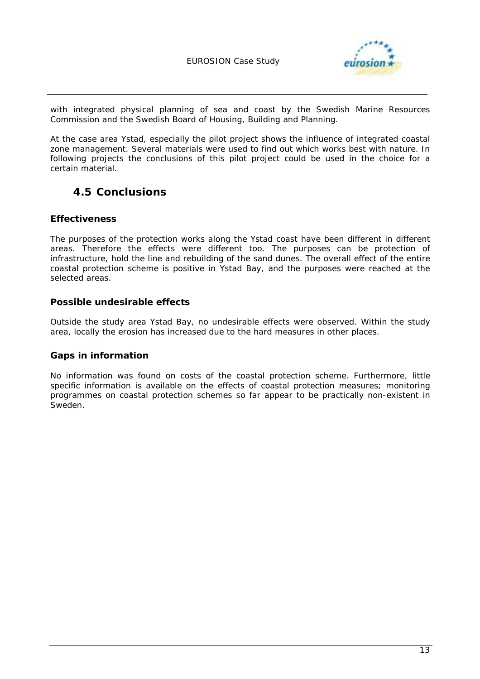

with integrated physical planning of sea and coast by the Swedish Marine Resources Commission and the Swedish Board of Housing, Building and Planning.

At the case area Ystad, especially the pilot project shows the influence of integrated coastal zone management. Several materials were used to find out which works best with nature. In following projects the conclusions of this pilot project could be used in the choice for a certain material.

# **4.5 Conclusions**

#### **Effectiveness**

The purposes of the protection works along the Ystad coast have been different in different areas. Therefore the effects were different too. The purposes can be protection of infrastructure, hold the line and rebuilding of the sand dunes. The overall effect of the entire coastal protection scheme is positive in Ystad Bay, and the purposes were reached at the selected areas.

#### **Possible undesirable effects**

Outside the study area Ystad Bay, no undesirable effects were observed. Within the study area, locally the erosion has increased due to the hard measures in other places.

#### **Gaps in information**

No information was found on costs of the coastal protection scheme. Furthermore, little specific information is available on the effects of coastal protection measures; monitoring programmes on coastal protection schemes so far appear to be practically non-existent in Sweden.